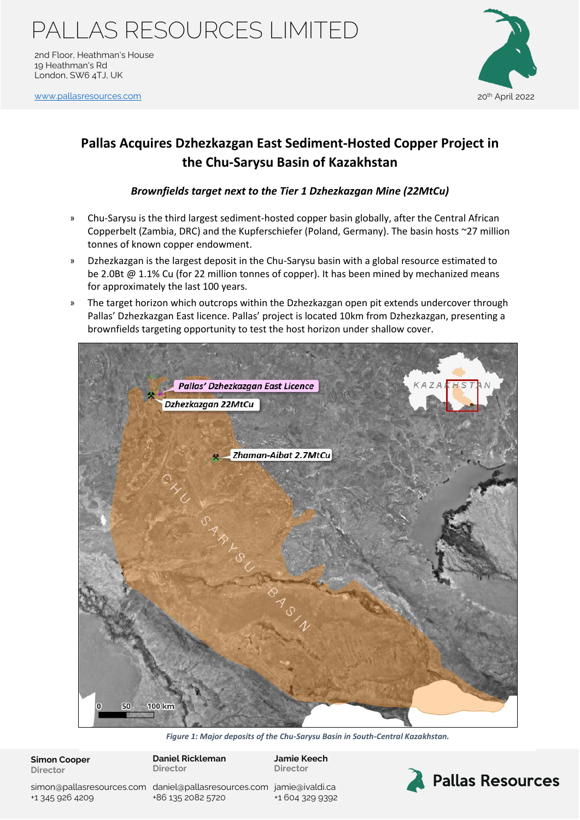2nd Floor, Heathman's House 19 Heathman's Rd London, SW6 4TJ, UK

[www.pallasresources.com](https://www.pallasresources.com/) 20th April 2022 and 20th April 2022 and 20th April 2022



### **Pallas Acquires Dzhezkazgan East Sediment-Hosted Copper Project in the Chu-Sarysu Basin of Kazakhstan**

### *Brownfields target next to the Tier 1 Dzhezkazgan Mine (22MtCu)*

- » Chu-Sarysu is the third largest sediment-hosted copper basin globally, after the Central African Copperbelt (Zambia, DRC) and the Kupferschiefer (Poland, Germany). The basin hosts ~27 million tonnes of known copper endowment.
- » Dzhezkazgan is the largest deposit in the Chu-Sarysu basin with a global resource estimated to be 2.0Bt @ 1.1% Cu (for 22 million tonnes of copper). It has been mined by mechanized means for approximately the last 100 years.
- » The target horizon which outcrops within the Dzhezkazgan open pit extends undercover through Pallas' Dzhezkazgan East licence. Pallas' project is located 10km from Dzhezkazgan, presenting a brownfields targeting opportunity to test the host horizon under shallow cover.



*Figure 1: Major deposits of the Chu-Sarysu Basin in South-Central Kazakhstan.* 

**Simon Cooper Director**

**Daniel Rickleman Director**

**Jamie Keech Director**

simon@pallasresources.com [daniel@pallasresources.com](mailto:daniel@pallasresources.com) [jamie@iv](mailto:jamie@pallasresources.com)aldi.ca +1 345 926 4209

+86 135 2082 5720

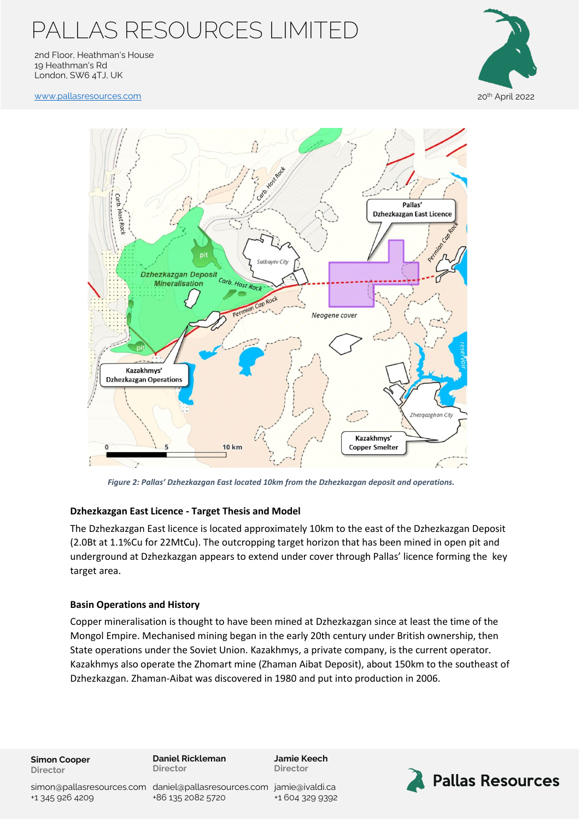2nd Floor, Heathman's House 19 Heathman's Rd London, SW6 4TJ, UK

[www.pallasresources.com](https://www.pallasresources.com/) 20<sup>th</sup> April 2022





*Figure 2: Pallas' Dzhezkazgan East located 10km from the Dzhezkazgan deposit and operations.*

### **Dzhezkazgan East Licence - Target Thesis and Model**

The Dzhezkazgan East licence is located approximately 10km to the east of the Dzhezkazgan Deposit (2.0Bt at 1.1%Cu for 22MtCu). The outcropping target horizon that has been mined in open pit and underground at Dzhezkazgan appears to extend under cover through Pallas' licence forming the key target area.

#### **Basin Operations and History**

Copper mineralisation is thought to have been mined at Dzhezkazgan since at least the time of the Mongol Empire. Mechanised mining began in the early 20th century under British ownership, then State operations under the Soviet Union. Kazakhmys, a private company, is the current operator. Kazakhmys also operate the Zhomart mine (Zhaman Aibat Deposit), about 150km to the southeast of Dzhezkazgan. Zhaman-Aibat was discovered in 1980 and put into production in 2006.

**Simon Cooper Director**

**Daniel Rickleman Director**

**Jamie Keech Director**



simon@pallasresources.com [daniel@pallasresources.com](mailto:daniel@pallasresources.com) [jamie@iv](mailto:jamie@pallasresources.com)aldi.ca +86 135 2082 5720

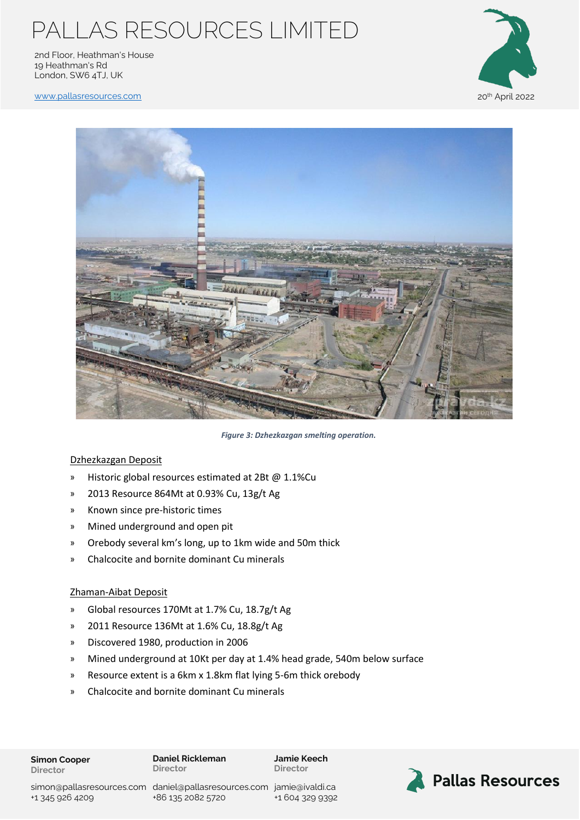2nd Floor, Heathman's House 19 Heathman's Rd London, SW6 4TJ, UK



[www.pallasresources.com](https://www.pallasresources.com/) 20th April 2022 and 20th April 2022 and 20th April 2022



*Figure 3: Dzhezkazgan smelting operation.* 

### Dzhezkazgan Deposit

- » Historic global resources estimated at 2Bt @ 1.1%Cu
- » 2013 Resource 864Mt at 0.93% Cu, 13g/t Ag
- » Known since pre-historic times
- » Mined underground and open pit
- » Orebody several km's long, up to 1km wide and 50m thick
- » Chalcocite and bornite dominant Cu minerals

#### Zhaman-Aibat Deposit

- » Global resources 170Mt at 1.7% Cu, 18.7g/t Ag
- » 2011 Resource 136Mt at 1.6% Cu, 18.8g/t Ag
- » Discovered 1980, production in 2006
- » Mined underground at 10Kt per day at 1.4% head grade, 540m below surface
- » Resource extent is a 6km x 1.8km flat lying 5-6m thick orebody
- » Chalcocite and bornite dominant Cu minerals

**Jamie Keech Director**



+1 345 926 4209

simon@pallasresources.com [daniel@pallasresources.com](mailto:daniel@pallasresources.com) [jamie@iv](mailto:jamie@pallasresources.com)aldi.ca +86 135 2082 5720